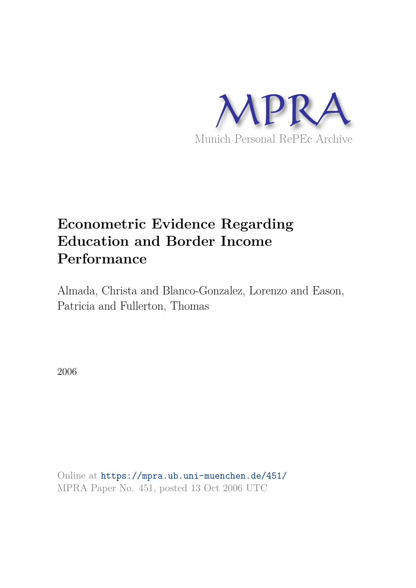

# **Econometric Evidence Regarding Education and Border Income Performance**

Almada, Christa and Blanco-Gonzalez, Lorenzo and Eason, Patricia and Fullerton, Thomas

2006

Online at https://mpra.ub.uni-muenchen.de/451/ MPRA Paper No. 451, posted 13 Oct 2006 UTC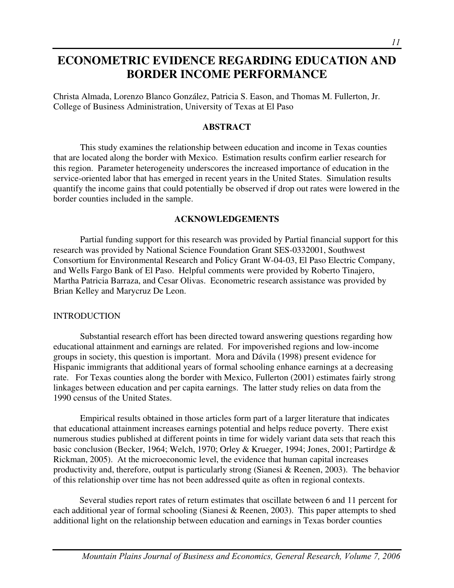# **ECONOMETRIC EVIDENCE REGARDING EDUCATION AND BORDER INCOME PERFORMANCE**

Christa Almada, Lorenzo Blanco González, Patricia S. Eason, and Thomas M. Fullerton, Jr. College of Business Administration, University of Texas at El Paso

# **ABSTRACT**

 This study examines the relationship between education and income in Texas counties that are located along the border with Mexico. Estimation results confirm earlier research for this region. Parameter heterogeneity underscores the increased importance of education in the service-oriented labor that has emerged in recent years in the United States. Simulation results quantify the income gains that could potentially be observed if drop out rates were lowered in the border counties included in the sample.

# **ACKNOWLEDGEMENTS**

 Partial funding support for this research was provided by Partial financial support for this research was provided by National Science Foundation Grant SES-0332001, Southwest Consortium for Environmental Research and Policy Grant W-04-03, El Paso Electric Company, and Wells Fargo Bank of El Paso. Helpful comments were provided by Roberto Tinajero, Martha Patricia Barraza, and Cesar Olivas. Econometric research assistance was provided by Brian Kelley and Marycruz De Leon.

# INTRODUCTION

Substantial research effort has been directed toward answering questions regarding how educational attainment and earnings are related. For impoverished regions and low-income groups in society, this question is important. Mora and Dávila (1998) present evidence for Hispanic immigrants that additional years of formal schooling enhance earnings at a decreasing rate. For Texas counties along the border with Mexico, Fullerton (2001) estimates fairly strong linkages between education and per capita earnings. The latter study relies on data from the 1990 census of the United States.

Empirical results obtained in those articles form part of a larger literature that indicates that educational attainment increases earnings potential and helps reduce poverty. There exist numerous studies published at different points in time for widely variant data sets that reach this basic conclusion (Becker, 1964; Welch, 1970; Orley & Krueger, 1994; Jones, 2001; Partirdge & Rickman, 2005). At the microeconomic level, the evidence that human capital increases productivity and, therefore, output is particularly strong (Sianesi & Reenen, 2003). The behavior of this relationship over time has not been addressed quite as often in regional contexts.

Several studies report rates of return estimates that oscillate between 6 and 11 percent for each additional year of formal schooling (Sianesi & Reenen, 2003). This paper attempts to shed additional light on the relationship between education and earnings in Texas border counties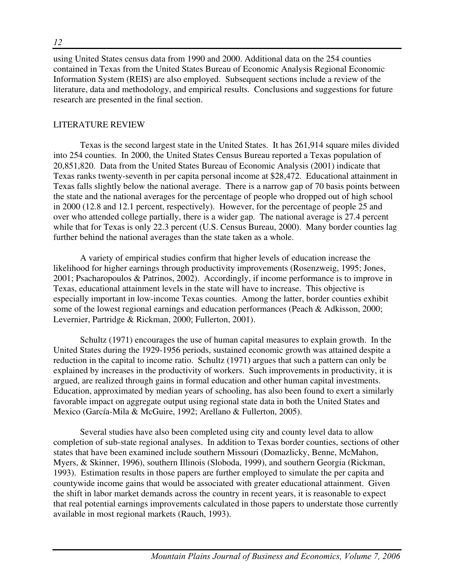using United States census data from 1990 and 2000. Additional data on the 254 counties contained in Texas from the United States Bureau of Economic Analysis Regional Economic Information System (REIS) are also employed. Subsequent sections include a review of the literature, data and methodology, and empirical results. Conclusions and suggestions for future research are presented in the final section.

# LITERATURE REVIEW

Texas is the second largest state in the United States. It has 261,914 square miles divided into 254 counties. In 2000, the United States Census Bureau reported a Texas population of 20,851,820. Data from the United States Bureau of Economic Analysis (2001) indicate that Texas ranks twenty-seventh in per capita personal income at \$28,472. Educational attainment in Texas falls slightly below the national average. There is a narrow gap of 70 basis points between the state and the national averages for the percentage of people who dropped out of high school in 2000 (12.8 and 12.1 percent, respectively). However, for the percentage of people 25 and over who attended college partially, there is a wider gap. The national average is 27.4 percent while that for Texas is only 22.3 percent (U.S. Census Bureau, 2000). Many border counties lag further behind the national averages than the state taken as a whole.

A variety of empirical studies confirm that higher levels of education increase the likelihood for higher earnings through productivity improvements (Rosenzweig, 1995; Jones, 2001; Psacharopoulos & Patrinos, 2002). Accordingly, if income performance is to improve in Texas, educational attainment levels in the state will have to increase. This objective is especially important in low-income Texas counties. Among the latter, border counties exhibit some of the lowest regional earnings and education performances (Peach & Adkisson, 2000; Levernier, Partridge & Rickman, 2000; Fullerton, 2001).

Schultz (1971) encourages the use of human capital measures to explain growth. In the United States during the 1929-1956 periods, sustained economic growth was attained despite a reduction in the capital to income ratio. Schultz (1971) argues that such a pattern can only be explained by increases in the productivity of workers. Such improvements in productivity, it is argued, are realized through gains in formal education and other human capital investments. Education, approximated by median years of schooling, has also been found to exert a similarly favorable impact on aggregate output using regional state data in both the United States and Mexico (García-Mila & McGuire, 1992; Arellano & Fullerton, 2005).

 Several studies have also been completed using city and county level data to allow completion of sub-state regional analyses. In addition to Texas border counties, sections of other states that have been examined include southern Missouri (Domazlicky, Benne, McMahon, Myers, & Skinner, 1996), southern Illinois (Sloboda, 1999), and southern Georgia (Rickman, 1993). Estimation results in those papers are further employed to simulate the per capita and countywide income gains that would be associated with greater educational attainment. Given the shift in labor market demands across the country in recent years, it is reasonable to expect that real potential earnings improvements calculated in those papers to understate those currently available in most regional markets (Rauch, 1993).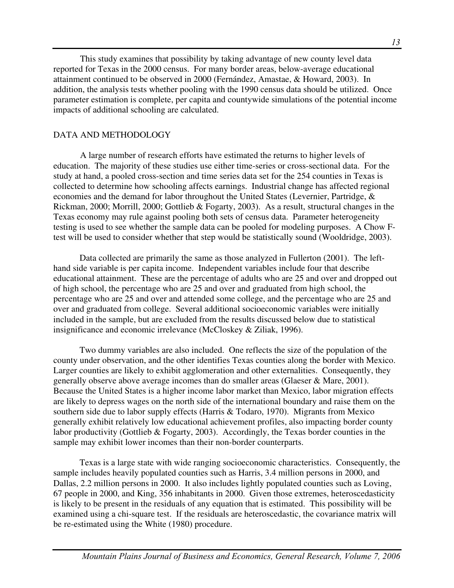This study examines that possibility by taking advantage of new county level data reported for Texas in the 2000 census. For many border areas, below-average educational attainment continued to be observed in 2000 (Fernández, Amastae, & Howard, 2003). In addition, the analysis tests whether pooling with the 1990 census data should be utilized. Once parameter estimation is complete, per capita and countywide simulations of the potential income impacts of additional schooling are calculated.

# DATA AND METHODOLOGY

A large number of research efforts have estimated the returns to higher levels of education. The majority of these studies use either time-series or cross-sectional data. For the study at hand, a pooled cross-section and time series data set for the 254 counties in Texas is collected to determine how schooling affects earnings. Industrial change has affected regional economies and the demand for labor throughout the United States (Levernier, Partridge, & Rickman, 2000; Morrill, 2000; Gottlieb & Fogarty, 2003). As a result, structural changes in the Texas economy may rule against pooling both sets of census data. Parameter heterogeneity testing is used to see whether the sample data can be pooled for modeling purposes. A Chow Ftest will be used to consider whether that step would be statistically sound (Wooldridge, 2003).

Data collected are primarily the same as those analyzed in Fullerton (2001). The lefthand side variable is per capita income. Independent variables include four that describe educational attainment. These are the percentage of adults who are 25 and over and dropped out of high school, the percentage who are 25 and over and graduated from high school, the percentage who are 25 and over and attended some college, and the percentage who are 25 and over and graduated from college. Several additional socioeconomic variables were initially included in the sample, but are excluded from the results discussed below due to statistical insignificance and economic irrelevance (McCloskey & Ziliak, 1996).

Two dummy variables are also included. One reflects the size of the population of the county under observation, and the other identifies Texas counties along the border with Mexico. Larger counties are likely to exhibit agglomeration and other externalities. Consequently, they generally observe above average incomes than do smaller areas (Glaeser & Mare, 2001). Because the United States is a higher income labor market than Mexico, labor migration effects are likely to depress wages on the north side of the international boundary and raise them on the southern side due to labor supply effects (Harris & Todaro, 1970). Migrants from Mexico generally exhibit relatively low educational achievement profiles, also impacting border county labor productivity (Gottlieb & Fogarty, 2003). Accordingly, the Texas border counties in the sample may exhibit lower incomes than their non-border counterparts.

Texas is a large state with wide ranging socioeconomic characteristics. Consequently, the sample includes heavily populated counties such as Harris, 3.4 million persons in 2000, and Dallas, 2.2 million persons in 2000. It also includes lightly populated counties such as Loving, 67 people in 2000, and King, 356 inhabitants in 2000. Given those extremes, heteroscedasticity is likely to be present in the residuals of any equation that is estimated. This possibility will be examined using a chi-square test. If the residuals are heteroscedastic, the covariance matrix will be re-estimated using the White (1980) procedure.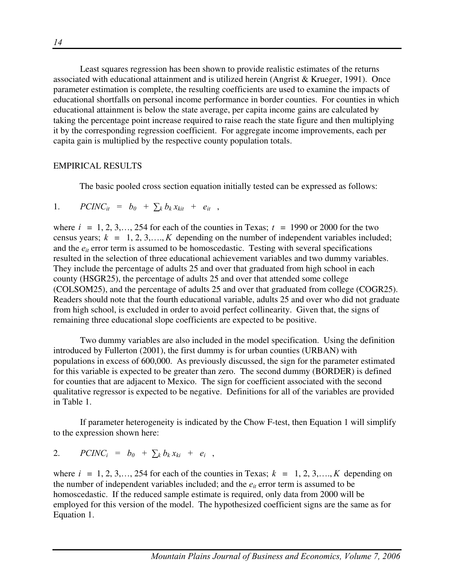Least squares regression has been shown to provide realistic estimates of the returns associated with educational attainment and is utilized herein (Angrist & Krueger, 1991). Once parameter estimation is complete, the resulting coefficients are used to examine the impacts of educational shortfalls on personal income performance in border counties. For counties in which educational attainment is below the state average, per capita income gains are calculated by taking the percentage point increase required to raise reach the state figure and then multiplying it by the corresponding regression coefficient. For aggregate income improvements, each per capita gain is multiplied by the respective county population totals.

#### EMPIRICAL RESULTS

The basic pooled cross section equation initially tested can be expressed as follows:

1. 
$$
PCINC_{it} = b_0 + \sum_k b_k x_{kit} + e_{it} ,
$$

where  $i = 1, 2, 3, \ldots, 254$  for each of the counties in Texas;  $t = 1990$  or 2000 for the two census years;  $k = 1, 2, 3, \ldots, K$  depending on the number of independent variables included; and the  $e_{it}$  error term is assumed to be homoscedastic. Testing with several specifications resulted in the selection of three educational achievement variables and two dummy variables. They include the percentage of adults 25 and over that graduated from high school in each county (HSGR25), the percentage of adults 25 and over that attended some college (COLSOM25), and the percentage of adults 25 and over that graduated from college (COGR25). Readers should note that the fourth educational variable, adults 25 and over who did not graduate from high school, is excluded in order to avoid perfect collinearity. Given that, the signs of remaining three educational slope coefficients are expected to be positive.

Two dummy variables are also included in the model specification. Using the definition introduced by Fullerton (2001), the first dummy is for urban counties (URBAN) with populations in excess of 600,000. As previously discussed, the sign for the parameter estimated for this variable is expected to be greater than zero. The second dummy (BORDER) is defined for counties that are adjacent to Mexico. The sign for coefficient associated with the second qualitative regressor is expected to be negative. Definitions for all of the variables are provided in Table 1.

 If parameter heterogeneity is indicated by the Chow F-test, then Equation 1 will simplify to the expression shown here:

2. 
$$
PCINC_i = b_0 + \sum_k b_k x_{ki} + e_i,
$$

where  $i = 1, 2, 3, \ldots, 254$  for each of the counties in Texas;  $k = 1, 2, 3, \ldots, K$  depending on the number of independent variables included; and the  $e_{it}$  error term is assumed to be homoscedastic. If the reduced sample estimate is required, only data from 2000 will be employed for this version of the model. The hypothesized coefficient signs are the same as for Equation 1.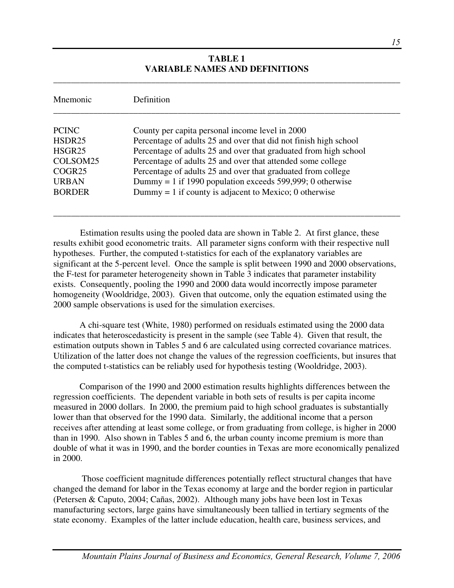#### **TABLE 1 VARIABLE NAMES AND DEFINITIONS**

\_\_\_\_\_\_\_\_\_\_\_\_\_\_\_\_\_\_\_\_\_\_\_\_\_\_\_\_\_\_\_\_\_\_\_\_\_\_\_\_\_\_\_\_\_\_\_\_\_\_\_\_\_\_\_\_\_\_\_\_\_\_\_\_\_\_\_\_\_\_\_\_\_\_\_\_\_\_

| Mnemonic           | Definition                                                       |
|--------------------|------------------------------------------------------------------|
| <b>PCINC</b>       | County per capita personal income level in 2000                  |
| HSDR25             | Percentage of adults 25 and over that did not finish high school |
| HSGR25             | Percentage of adults 25 and over that graduated from high school |
| COLSOM25           | Percentage of adults 25 and over that attended some college      |
| COGR <sub>25</sub> | Percentage of adults 25 and over that graduated from college     |
| <b>URBAN</b>       | Dummy = 1 if 1990 population exceeds 599,999; 0 otherwise        |
| <b>BORDER</b>      | Dummy $= 1$ if county is adjacent to Mexico; 0 otherwise         |

 Estimation results using the pooled data are shown in Table 2. At first glance, these results exhibit good econometric traits. All parameter signs conform with their respective null hypotheses. Further, the computed t-statistics for each of the explanatory variables are significant at the 5-percent level. Once the sample is split between 1990 and 2000 observations, the F-test for parameter heterogeneity shown in Table 3 indicates that parameter instability exists. Consequently, pooling the 1990 and 2000 data would incorrectly impose parameter homogeneity (Wooldridge, 2003). Given that outcome, only the equation estimated using the 2000 sample observations is used for the simulation exercises.

A chi-square test (White, 1980) performed on residuals estimated using the 2000 data indicates that heteroscedasticity is present in the sample (see Table 4). Given that result, the estimation outputs shown in Tables 5 and 6 are calculated using corrected covariance matrices. Utilization of the latter does not change the values of the regression coefficients, but insures that the computed t-statistics can be reliably used for hypothesis testing (Wooldridge, 2003).

Comparison of the 1990 and 2000 estimation results highlights differences between the regression coefficients. The dependent variable in both sets of results is per capita income measured in 2000 dollars. In 2000, the premium paid to high school graduates is substantially lower than that observed for the 1990 data. Similarly, the additional income that a person receives after attending at least some college, or from graduating from college, is higher in 2000 than in 1990. Also shown in Tables 5 and 6, the urban county income premium is more than double of what it was in 1990, and the border counties in Texas are more economically penalized in 2000.

 Those coefficient magnitude differences potentially reflect structural changes that have changed the demand for labor in the Texas economy at large and the border region in particular (Petersen & Caputo, 2004; Cañas, 2002). Although many jobs have been lost in Texas manufacturing sectors, large gains have simultaneously been tallied in tertiary segments of the state economy. Examples of the latter include education, health care, business services, and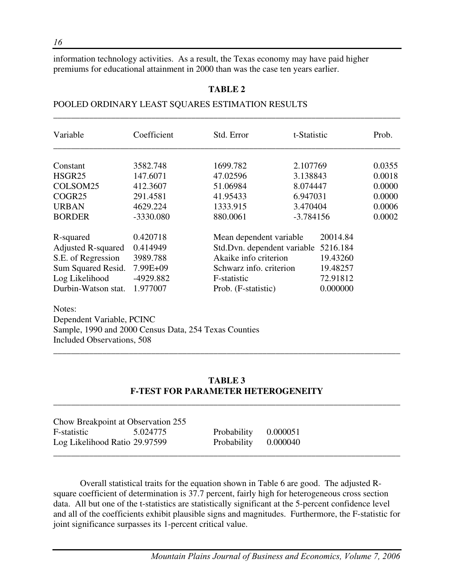information technology activities. As a result, the Texas economy may have paid higher premiums for educational attainment in 2000 than was the case ten years earlier.

#### **TABLE 2**

\_\_\_\_\_\_\_\_\_\_\_\_\_\_\_\_\_\_\_\_\_\_\_\_\_\_\_\_\_\_\_\_\_\_\_\_\_\_\_\_\_\_\_\_\_\_\_\_\_\_\_\_\_\_\_\_\_\_\_\_\_\_\_\_\_\_\_\_\_\_\_\_\_\_\_\_\_\_

#### POOLED ORDINARY LEAST SQUARES ESTIMATION RESULTS

| Variable                  | Coefficient | Std. Error                  | t-Statistic |          | Prob.  |
|---------------------------|-------------|-----------------------------|-------------|----------|--------|
| Constant                  | 3582.748    | 1699.782                    | 2.107769    |          | 0.0355 |
| HSGR <sub>25</sub>        | 147.6071    | 47.02596                    | 3.138843    |          | 0.0018 |
| COLSOM25                  | 412.3607    | 51.06984                    | 8.074447    |          | 0.0000 |
| COGR <sub>25</sub>        | 291.4581    | 41.95433                    | 6.947031    |          | 0.0000 |
| <b>URBAN</b>              | 4629.224    | 1333.915                    | 3.470404    |          | 0.0006 |
| <b>BORDER</b>             | -3330.080   | 880.0061                    | $-3.784156$ |          | 0.0002 |
| R-squared                 | 0.420718    | Mean dependent variable     |             | 20014.84 |        |
| <b>Adjusted R-squared</b> | 0.414949    | Std.Dvn. dependent variable |             | 5216.184 |        |
| S.E. of Regression        | 3989.788    | Akaike info criterion       |             | 19.43260 |        |
| Sum Squared Resid.        | 7.99E+09    | Schwarz info. criterion     |             | 19.48257 |        |
| Log Likelihood            | -4929.882   | F-statistic                 |             | 72.91812 |        |
| Durbin-Watson stat.       | 1.977007    | Prob. (F-statistic)         |             | 0.000000 |        |

Notes: Dependent Variable, PCINC Sample, 1990 and 2000 Census Data, 254 Texas Counties Included Observations, 508

#### **TABLE 3 F-TEST FOR PARAMETER HETEROGENEITY**

\_\_\_\_\_\_\_\_\_\_\_\_\_\_\_\_\_\_\_\_\_\_\_\_\_\_\_\_\_\_\_\_\_\_\_\_\_\_\_\_\_\_\_\_\_\_\_\_\_\_\_\_\_\_\_\_\_\_\_\_\_\_\_\_\_\_\_\_\_\_\_\_\_\_\_\_\_\_

\_\_\_\_\_\_\_\_\_\_\_\_\_\_\_\_\_\_\_\_\_\_\_\_\_\_\_\_\_\_\_\_\_\_\_\_\_\_\_\_\_\_\_\_\_\_\_\_\_\_\_\_\_\_\_\_\_\_\_\_\_\_\_\_\_\_\_\_\_\_\_\_\_\_\_\_\_\_

| Chow Breakpoint at Observation 255 |          |                      |  |
|------------------------------------|----------|----------------------|--|
| F-statistic                        | 5.024775 | Probability 0.000051 |  |
| Log Likelihood Ratio 29.97599      |          | Probability 0.000040 |  |
|                                    |          |                      |  |

Overall statistical traits for the equation shown in Table 6 are good. The adjusted Rsquare coefficient of determination is 37.7 percent, fairly high for heterogeneous cross section data. All but one of the t-statistics are statistically significant at the 5-percent confidence level and all of the coefficients exhibit plausible signs and magnitudes. Furthermore, the F-statistic for joint significance surpasses its 1-percent critical value.

*16*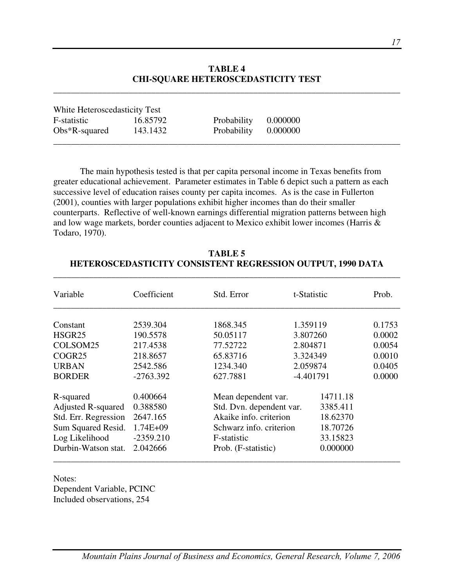#### **TABLE 4 CHI-SQUARE HETEROSCEDASTICITY TEST**

\_\_\_\_\_\_\_\_\_\_\_\_\_\_\_\_\_\_\_\_\_\_\_\_\_\_\_\_\_\_\_\_\_\_\_\_\_\_\_\_\_\_\_\_\_\_\_\_\_\_\_\_\_\_\_\_\_\_\_\_\_\_\_\_\_\_\_\_\_\_\_\_\_\_\_\_\_\_

| White Heteroscedasticity Test |          |                      |          |  |
|-------------------------------|----------|----------------------|----------|--|
| F-statistic                   | 16.85792 | Probability          | 0.000000 |  |
| $Obs*R$ -squared              | 143.1432 | Probability 0.000000 |          |  |
|                               |          |                      |          |  |

The main hypothesis tested is that per capita personal income in Texas benefits from greater educational achievement. Parameter estimates in Table 6 depict such a pattern as each successive level of education raises county per capita incomes. As is the case in Fullerton (2001), counties with larger populations exhibit higher incomes than do their smaller counterparts. Reflective of well-known earnings differential migration patterns between high and low wage markets, border counties adjacent to Mexico exhibit lower incomes (Harris & Todaro, 1970).

| Variable                  | Coefficient  | Std. Error               |          | t-Statistic | Prob.  |
|---------------------------|--------------|--------------------------|----------|-------------|--------|
|                           |              |                          |          |             |        |
| Constant                  | 2539.304     | 1868.345                 |          | 1.359119    | 0.1753 |
| HSGR <sub>25</sub>        | 190.5578     | 50.05117                 | 3.807260 |             | 0.0002 |
| COLSOM25                  | 217.4538     | 77.52722                 | 2.804871 |             | 0.0054 |
| COGR <sub>25</sub>        | 218.8657     | 65.83716                 | 3.324349 |             | 0.0010 |
| <b>URBAN</b>              | 2542.586     | 1234.340                 | 2.059874 |             | 0.0405 |
| <b>BORDER</b>             | $-2763.392$  | 627.7881                 |          | $-4.401791$ | 0.0000 |
| R-squared                 | 0.400664     | Mean dependent var.      |          | 14711.18    |        |
| <b>Adjusted R-squared</b> | 0.388580     | Std. Dvn. dependent var. |          | 3385.411    |        |
| Std. Err. Regression      | 2647.165     | Akaike info. criterion   |          | 18.62370    |        |
| Sum Squared Resid.        | $1.74E + 09$ | Schwarz info. criterion  |          | 18.70726    |        |
| Log Likelihood            | $-2359.210$  | F-statistic              |          | 33.15823    |        |
| Durbin-Watson stat.       | 2.042666     | Prob. (F-statistic)      |          | 0.000000    |        |

# **TABLE 5 HETEROSCEDASTICITY CONSISTENT REGRESSION OUTPUT, 1990 DATA**

\_\_\_\_\_\_\_\_\_\_\_\_\_\_\_\_\_\_\_\_\_\_\_\_\_\_\_\_\_\_\_\_\_\_\_\_\_\_\_\_\_\_\_\_\_\_\_\_\_\_\_\_\_\_\_\_\_\_\_\_\_\_\_\_\_\_\_\_\_\_\_\_\_\_\_\_\_\_

Notes: Dependent Variable, PCINC Included observations, 254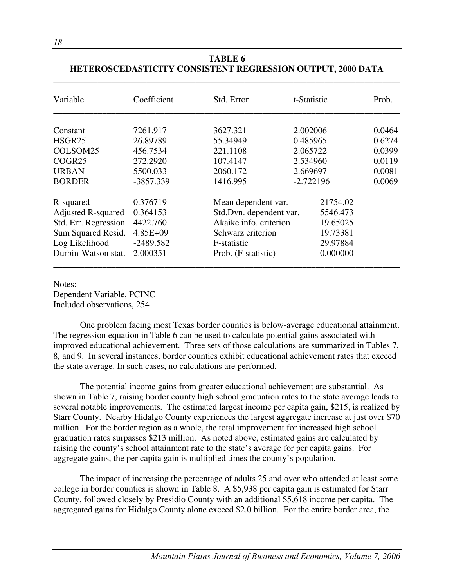| Variable                  | Coefficient  | Std. Error                          | t-Statistic | Prob.  |
|---------------------------|--------------|-------------------------------------|-------------|--------|
| Constant                  | 7261.917     | 3627.321                            | 2.002006    | 0.0464 |
| HSGR25                    | 26.89789     | 55.34949                            | 0.485965    | 0.6274 |
| COLSOM25                  | 456.7534     | 221.1108                            | 2.065722    | 0.0399 |
| COGR25                    | 272.2920     | 107.4147                            | 2.534960    | 0.0119 |
| <b>URBAN</b>              | 5500.033     | 2060.172                            | 2.669697    | 0.0081 |
| <b>BORDER</b>             | -3857.339    | 1416.995                            | $-2.722196$ | 0.0069 |
| R-squared                 | 0.376719     | Mean dependent var.                 | 21754.02    |        |
| <b>Adjusted R-squared</b> | 0.364153     | Std.Dvn. dependent var.<br>5546.473 |             |        |
| Std. Err. Regression      | 4422.760     | Akaike info. criterion<br>19.65025  |             |        |
| Sum Squared Resid.        | $4.85E + 09$ | 19.73381<br>Schwarz criterion       |             |        |
| Log Likelihood            | $-2489.582$  | F-statistic                         | 29.97884    |        |
| Durbin-Watson stat.       | 2.000351     | Prob. (F-statistic)                 | 0.000000    |        |

# **TABLE 6 HETEROSCEDASTICITY CONSISTENT REGRESSION OUTPUT, 2000 DATA**

Notes: Dependent Variable, PCINC Included observations, 254

One problem facing most Texas border counties is below-average educational attainment. The regression equation in Table 6 can be used to calculate potential gains associated with improved educational achievement. Three sets of those calculations are summarized in Tables 7, 8, and 9. In several instances, border counties exhibit educational achievement rates that exceed the state average. In such cases, no calculations are performed.

The potential income gains from greater educational achievement are substantial. As shown in Table 7, raising border county high school graduation rates to the state average leads to several notable improvements. The estimated largest income per capita gain, \$215, is realized by Starr County. Nearby Hidalgo County experiences the largest aggregate increase at just over \$70 million. For the border region as a whole, the total improvement for increased high school graduation rates surpasses \$213 million. As noted above, estimated gains are calculated by raising the county's school attainment rate to the state's average for per capita gains. For aggregate gains, the per capita gain is multiplied times the county's population.

The impact of increasing the percentage of adults 25 and over who attended at least some college in border counties is shown in Table 8. A \$5,938 per capita gain is estimated for Starr County, followed closely by Presidio County with an additional \$5,618 income per capita. The aggregated gains for Hidalgo County alone exceed \$2.0 billion. For the entire border area, the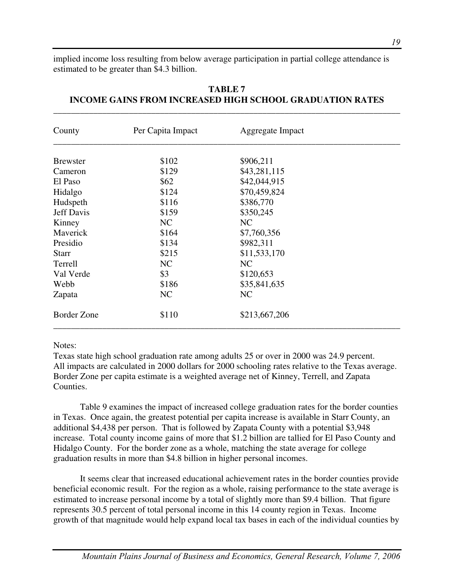implied income loss resulting from below average participation in partial college attendance is estimated to be greater than \$4.3 billion.

| County             | Per Capita Impact | Aggregate Impact |  |
|--------------------|-------------------|------------------|--|
| <b>Brewster</b>    | \$102             | \$906,211        |  |
| Cameron            | \$129             | \$43,281,115     |  |
| El Paso            | \$62              | \$42,044,915     |  |
| Hidalgo            | \$124             | \$70,459,824     |  |
| Hudspeth           | \$116             | \$386,770        |  |
| <b>Jeff Davis</b>  | \$159             | \$350,245        |  |
| Kinney             | NC                | NC               |  |
| Maverick           | \$164             | \$7,760,356      |  |
| Presidio           | \$134             | \$982,311        |  |
| <b>Starr</b>       | \$215             | \$11,533,170     |  |
| Terrell            | NC                | NC               |  |
| Val Verde          | \$3               | \$120,653        |  |
| Webb               | \$186             | \$35,841,635     |  |
| Zapata             | NC                | NC               |  |
| <b>Border Zone</b> | \$110             | \$213,667,206    |  |

# **TABLE 7 INCOME GAINS FROM INCREASED HIGH SCHOOL GRADUATION RATES**

\_\_\_\_\_\_\_\_\_\_\_\_\_\_\_\_\_\_\_\_\_\_\_\_\_\_\_\_\_\_\_\_\_\_\_\_\_\_\_\_\_\_\_\_\_\_\_\_\_\_\_\_\_\_\_\_\_\_\_\_\_\_\_\_\_\_\_\_\_\_\_\_\_\_\_\_\_\_

# Notes:

Texas state high school graduation rate among adults 25 or over in 2000 was 24.9 percent. All impacts are calculated in 2000 dollars for 2000 schooling rates relative to the Texas average. Border Zone per capita estimate is a weighted average net of Kinney, Terrell, and Zapata Counties.

Table 9 examines the impact of increased college graduation rates for the border counties in Texas. Once again, the greatest potential per capita increase is available in Starr County, an additional \$4,438 per person. That is followed by Zapata County with a potential \$3,948 increase. Total county income gains of more that \$1.2 billion are tallied for El Paso County and Hidalgo County. For the border zone as a whole, matching the state average for college graduation results in more than \$4.8 billion in higher personal incomes.

It seems clear that increased educational achievement rates in the border counties provide beneficial economic result. For the region as a whole, raising performance to the state average is estimated to increase personal income by a total of slightly more than \$9.4 billion. That figure represents 30.5 percent of total personal income in this 14 county region in Texas. Income growth of that magnitude would help expand local tax bases in each of the individual counties by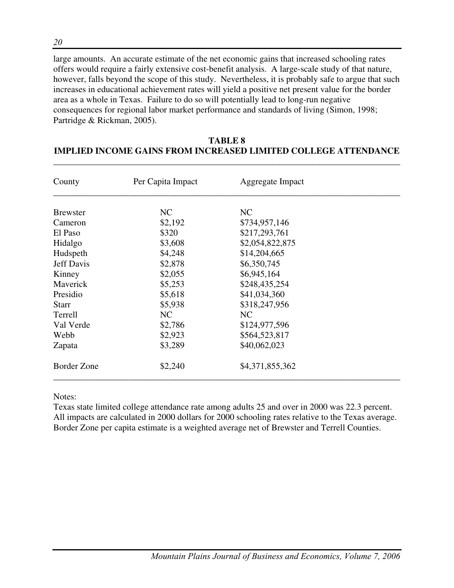large amounts. An accurate estimate of the net economic gains that increased schooling rates offers would require a fairly extensive cost-benefit analysis. A large-scale study of that nature, however, falls beyond the scope of this study. Nevertheless, it is probably safe to argue that such increases in educational achievement rates will yield a positive net present value for the border area as a whole in Texas. Failure to do so will potentially lead to long-run negative consequences for regional labor market performance and standards of living (Simon, 1998; Partridge & Rickman, 2005).

| County             | Per Capita Impact | Aggregate Impact |  |
|--------------------|-------------------|------------------|--|
| <b>B</b> rewster   | NC                | NC               |  |
| Cameron            | \$2,192           | \$734,957,146    |  |
| El Paso            | \$320             | \$217,293,761    |  |
| Hidalgo            | \$3,608           | \$2,054,822,875  |  |
| Hudspeth           | \$4,248           | \$14,204,665     |  |
| <b>Jeff Davis</b>  | \$2,878           | \$6,350,745      |  |
| Kinney             | \$2,055           | \$6,945,164      |  |
| Maverick           | \$5,253           | \$248,435,254    |  |
| Presidio           | \$5,618           | \$41,034,360     |  |
| <b>Starr</b>       | \$5,938           | \$318,247,956    |  |
| Terrell            | NC                | NC               |  |
| Val Verde          | \$2,786           | \$124,977,596    |  |
| Webb               | \$2,923           | \$564,523,817    |  |
| Zapata             | \$3,289           | \$40,062,023     |  |
| <b>Border Zone</b> | \$2,240           | \$4,371,855,362  |  |

# **TABLE 8 IMPLIED INCOME GAINS FROM INCREASED LIMITED COLLEGE ATTENDANCE**

\_\_\_\_\_\_\_\_\_\_\_\_\_\_\_\_\_\_\_\_\_\_\_\_\_\_\_\_\_\_\_\_\_\_\_\_\_\_\_\_\_\_\_\_\_\_\_\_\_\_\_\_\_\_\_\_\_\_\_\_\_\_\_\_\_\_\_\_\_\_\_\_\_\_\_\_\_\_

Notes:

Texas state limited college attendance rate among adults 25 and over in 2000 was 22.3 percent. All impacts are calculated in 2000 dollars for 2000 schooling rates relative to the Texas average. Border Zone per capita estimate is a weighted average net of Brewster and Terrell Counties.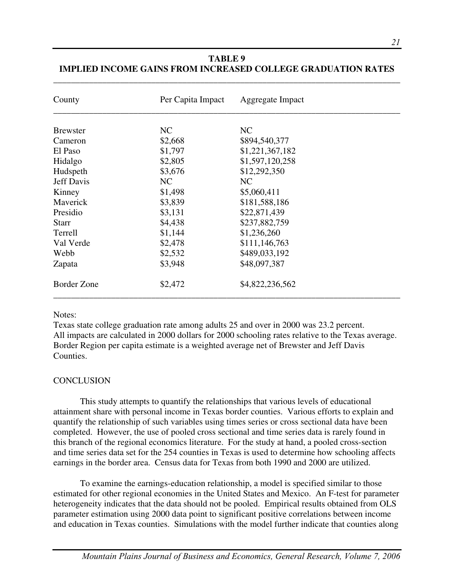| County            | Per Capita Impact | Aggregate Impact |  |
|-------------------|-------------------|------------------|--|
| <b>B</b> rewster  | NC                | NC               |  |
| Cameron           | \$2,668           | \$894,540,377    |  |
| El Paso           | \$1,797           | \$1,221,367,182  |  |
| Hidalgo           | \$2,805           | \$1,597,120,258  |  |
| Hudspeth          | \$3,676           | \$12,292,350     |  |
| <b>Jeff Davis</b> | NC                | NC               |  |
| Kinney            | \$1,498           | \$5,060,411      |  |
| Maverick          | \$3,839           | \$181,588,186    |  |
| Presidio          | \$3,131           | \$22,871,439     |  |
| <b>Starr</b>      | \$4,438           | \$237,882,759    |  |
| Terrell           | \$1,144           | \$1,236,260      |  |
| Val Verde         | \$2,478           | \$111,146,763    |  |
| Webb              | \$2,532           | \$489,033,192    |  |
| Zapata            | \$3,948           | \$48,097,387     |  |
| Border Zone       | \$2,472           | \$4,822,236,562  |  |

# **TABLE 9 IMPLIED INCOME GAINS FROM INCREASED COLLEGE GRADUATION RATES**

\_\_\_\_\_\_\_\_\_\_\_\_\_\_\_\_\_\_\_\_\_\_\_\_\_\_\_\_\_\_\_\_\_\_\_\_\_\_\_\_\_\_\_\_\_\_\_\_\_\_\_\_\_\_\_\_\_\_\_\_\_\_\_\_\_\_\_\_\_\_\_\_\_\_\_\_\_\_

#### Notes:

Texas state college graduation rate among adults 25 and over in 2000 was 23.2 percent. All impacts are calculated in 2000 dollars for 2000 schooling rates relative to the Texas average. Border Region per capita estimate is a weighted average net of Brewster and Jeff Davis Counties.

# **CONCLUSION**

This study attempts to quantify the relationships that various levels of educational attainment share with personal income in Texas border counties. Various efforts to explain and quantify the relationship of such variables using times series or cross sectional data have been completed. However, the use of pooled cross sectional and time series data is rarely found in this branch of the regional economics literature. For the study at hand, a pooled cross-section and time series data set for the 254 counties in Texas is used to determine how schooling affects earnings in the border area. Census data for Texas from both 1990 and 2000 are utilized.

To examine the earnings-education relationship, a model is specified similar to those estimated for other regional economies in the United States and Mexico. An F-test for parameter heterogeneity indicates that the data should not be pooled. Empirical results obtained from OLS parameter estimation using 2000 data point to significant positive correlations between income and education in Texas counties. Simulations with the model further indicate that counties along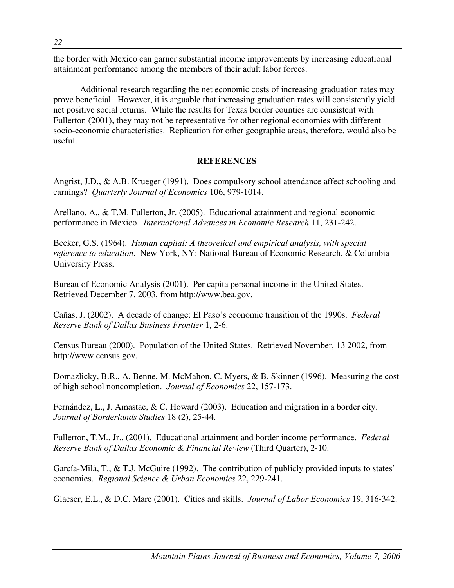the border with Mexico can garner substantial income improvements by increasing educational attainment performance among the members of their adult labor forces.

Additional research regarding the net economic costs of increasing graduation rates may prove beneficial. However, it is arguable that increasing graduation rates will consistently yield net positive social returns. While the results for Texas border counties are consistent with Fullerton (2001), they may not be representative for other regional economies with different socio-economic characteristics. Replication for other geographic areas, therefore, would also be useful.

# **REFERENCES**

Angrist, J.D., & A.B. Krueger (1991). Does compulsory school attendance affect schooling and earnings? *Quarterly Journal of Economics* 106, 979-1014.

Arellano, A., & T.M. Fullerton, Jr. (2005). Educational attainment and regional economic performance in Mexico. *International Advances in Economic Research* 11, 231-242.

Becker, G.S. (1964). *Human capital: A theoretical and empirical analysis, with special reference to education*. New York, NY: National Bureau of Economic Research. & Columbia University Press.

Bureau of Economic Analysis (2001). Per capita personal income in the United States. Retrieved December 7, 2003, from http://www.bea.gov.

Cañas, J. (2002). A decade of change: El Paso's economic transition of the 1990s. *Federal Reserve Bank of Dallas Business Frontier* 1, 2-6.

Census Bureau (2000). Population of the United States. Retrieved November, 13 2002, from http://www.census.gov.

Domazlicky, B.R., A. Benne, M. McMahon, C. Myers, & B. Skinner (1996). Measuring the cost of high school noncompletion. *Journal of Economics* 22, 157-173.

Fernández, L., J. Amastae, & C. Howard (2003). Education and migration in a border city. *Journal of Borderlands Studies* 18 (2), 25-44.

Fullerton, T.M., Jr., (2001). Educational attainment and border income performance. *Federal Reserve Bank of Dallas Economic & Financial Review* (Third Quarter), 2-10.

García-Milà, T., & T.J. McGuire (1992). The contribution of publicly provided inputs to states' economies. *Regional Science & Urban Economics* 22, 229-241.

Glaeser, E.L., & D.C. Mare (2001). Cities and skills. *Journal of Labor Economics* 19, 316-342.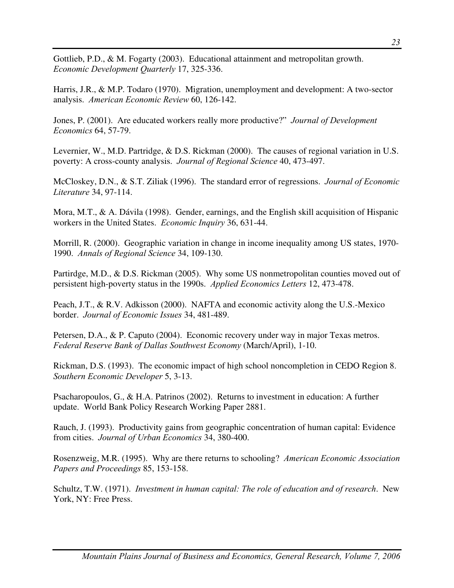Gottlieb, P.D., & M. Fogarty (2003). Educational attainment and metropolitan growth. *Economic Development Quarterly* 17, 325-336.

Harris, J.R., & M.P. Todaro (1970). Migration, unemployment and development: A two-sector analysis. *American Economic Review* 60, 126-142.

Jones, P. (2001). Are educated workers really more productive?" *Journal of Development Economics* 64, 57-79.

Levernier, W., M.D. Partridge, & D.S. Rickman (2000). The causes of regional variation in U.S. poverty: A cross-county analysis. *Journal of Regional Science* 40, 473-497.

McCloskey, D.N., & S.T. Ziliak (1996). The standard error of regressions. *Journal of Economic Literature* 34, 97-114.

Mora, M.T., & A. Dávila (1998). Gender, earnings, and the English skill acquisition of Hispanic workers in the United States. *Economic Inquiry* 36, 631-44.

Morrill, R. (2000). Geographic variation in change in income inequality among US states, 1970- 1990. *Annals of Regional Science* 34, 109-130.

Partirdge, M.D., & D.S. Rickman (2005). Why some US nonmetropolitan counties moved out of persistent high-poverty status in the 1990s. *Applied Economics Letters* 12, 473-478.

Peach, J.T., & R.V. Adkisson (2000). NAFTA and economic activity along the U.S.-Mexico border. *Journal of Economic Issues* 34, 481-489.

Petersen, D.A., & P. Caputo (2004). Economic recovery under way in major Texas metros. *Federal Reserve Bank of Dallas Southwest Economy* (March/April), 1-10.

Rickman, D.S. (1993). The economic impact of high school noncompletion in CEDO Region 8. *Southern Economic Developer* 5, 3-13.

Psacharopoulos, G., & H.A. Patrinos (2002). Returns to investment in education: A further update. World Bank Policy Research Working Paper 2881.

Rauch, J. (1993). Productivity gains from geographic concentration of human capital: Evidence from cities. *Journal of Urban Economics* 34, 380-400.

Rosenzweig, M.R. (1995). Why are there returns to schooling? *American Economic Association Papers and Proceedings* 85, 153-158.

Schultz, T.W. (1971). *Investment in human capital: The role of education and of research*. New York, NY: Free Press.